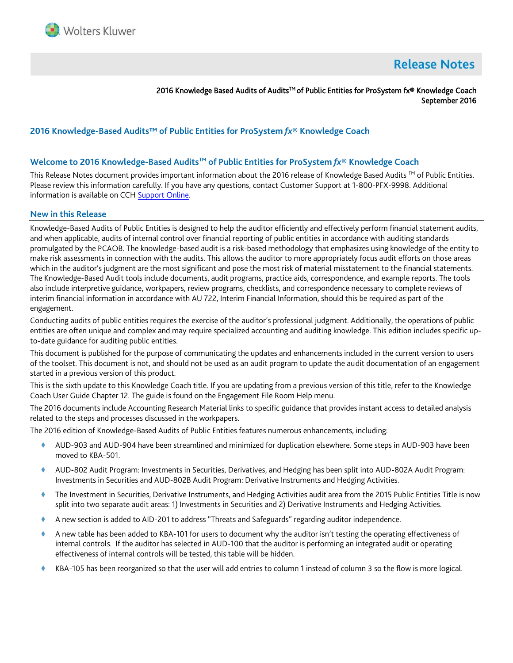

# **Release Notes**

2016 Knowledge Based Audits of Audits<sup>™</sup> of Public Entities for ProSystem fx® Knowledge Coach September 2016

# **2016 Knowledge-Based Audits™ of Public Entities for ProSystem** *fx***® Knowledge Coach**

#### **Welcome to 2016 Knowledge-Based AuditsTM of Public Entities for ProSystem** *fx***® Knowledge Coach**

This Release Notes document provides important information about the 2016 release of Knowledge Based Audits ™ of Public Entities. Please review this information carefully. If you have any questions, contact Customer Support at 1-800-PFX-9998. Additional information is available on CC[H Support Online.](http://support.cch.com/productsupport/)

#### **New in this Release**

Knowledge-Based Audits of Public Entities is designed to help the auditor efficiently and effectively perform financial statement audits, and when applicable, audits of internal control over financial reporting of public entities in accordance with auditing standards promulgated by the PCAOB. The knowledge-based audit is a risk-based methodology that emphasizes using knowledge of the entity to make risk assessments in connection with the audits. This allows the auditor to more appropriately focus audit efforts on those areas which in the auditor's judgment are the most significant and pose the most risk of material misstatement to the financial statements. The Knowledge-Based Audit tools include documents, audit programs, practice aids, correspondence, and example reports. The tools also include interpretive guidance, workpapers, review programs, checklists, and correspondence necessary to complete reviews of interim financial information in accordance with AU 722, Interim Financial Information, should this be required as part of the engagement.

Conducting audits of public entities requires the exercise of the auditor's professional judgment. Additionally, the operations of public entities are often unique and complex and may require specialized accounting and auditing knowledge. This edition includes specific upto-date guidance for auditing public entities.

This document is published for the purpose of communicating the updates and enhancements included in the current version to users of the toolset. This document is not, and should not be used as an audit program to update the audit documentation of an engagement started in a previous version of this product.

This is the sixth update to this Knowledge Coach title. If you are updating from a previous version of this title, refer to the Knowledge Coach User Guide Chapter 12. The guide is found on the Engagement File Room Help menu.

The 2016 documents include Accounting Research Material links to specific guidance that provides instant access to detailed analysis related to the steps and processes discussed in the workpapers.

The 2016 edition of Knowledge-Based Audits of Public Entities features numerous enhancements, including:

- AUD-903 and AUD-904 have been streamlined and minimized for duplication elsewhere. Some steps in AUD-903 have been moved to KBA-501.
- AUD-802 Audit Program: Investments in Securities, Derivatives, and Hedging has been split into AUD-802A Audit Program: Investments in Securities and AUD-802B Audit Program: Derivative Instruments and Hedging Activities.
- The Investment in Securities, Derivative Instruments, and Hedging Activities audit area from the 2015 Public Entities Title is now split into two separate audit areas: 1) Investments in Securities and 2) Derivative Instruments and Hedging Activities.
- A new section is added to AID-201 to address "Threats and Safeguards" regarding auditor independence.
- A new table has been added to KBA-101 for users to document why the auditor isn't testing the operating effectiveness of internal controls. If the auditor has selected in AUD-100 that the auditor is performing an integrated audit or operating effectiveness of internal controls will be tested, this table will be hidden.
- KBA-105 has been reorganized so that the user will add entries to column 1 instead of column 3 so the flow is more logical.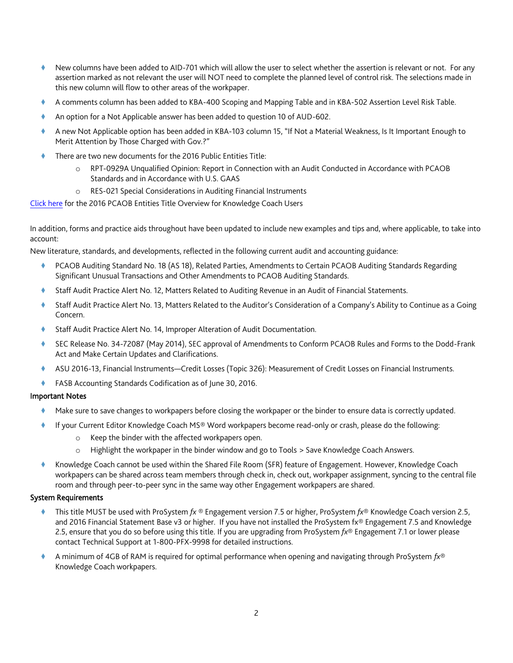- New columns have been added to AID-701 which will allow the user to select whether the assertion is relevant or not. For any assertion marked as not relevant the user will NOT need to complete the planned level of control risk. The selections made in this new column will flow to other areas of the workpaper.
- A comments column has been added to KBA-400 Scoping and Mapping Table and in KBA-502 Assertion Level Risk Table.
- An option for a Not Applicable answer has been added to question 10 of AUD-602.
- A new Not Applicable option has been added in KBA-103 column 15, "If Not a Material Weakness, Is It Important Enough to Merit Attention by Those Charged with Gov.?"
- There are two new documents for the 2016 Public Entities Title:
	- o RPT-0929A Unqualified Opinion: Report in Connection with an Audit Conducted in Accordance with PCAOB Standards and in Accordance with U.S. GAAS
	- o RES-021 Special Considerations in Auditing Financial Instruments

## [Click here](http://support.cch.com/updates/KnowledgeCoach/pdf/guides_tab/2016%20PCAOB%20Entities%20Title%20Overview%20for%20Knowledge%20Coach%20Users.pdf) for the 2016 PCAOB Entities Title Overview for Knowledge Coach Users

In addition, forms and practice aids throughout have been updated to include new examples and tips and, where applicable, to take into account:

New literature, standards, and developments, reflected in the following current audit and accounting guidance:

- PCAOB Auditing Standard No. 18 (AS 18), Related Parties, Amendments to Certain PCAOB Auditing Standards Regarding Significant Unusual Transactions and Other Amendments to PCAOB Auditing Standards.
- Staff Audit Practice Alert No. 12, Matters Related to Auditing Revenue in an Audit of Financial Statements.
- Staff Audit Practice Alert No. 13, Matters Related to the Auditor's Consideration of a Company's Ability to Continue as a Going Concern.
- Staff Audit Practice Alert No. 14, Improper Alteration of Audit Documentation.
- SEC Release No. 34-72087 (May 2014), SEC approval of Amendments to Conform PCAOB Rules and Forms to the Dodd-Frank Act and Make Certain Updates and Clarifications.
- ASU 2016-13, Financial Instruments—Credit Losses (Topic 326): Measurement of Credit Losses on Financial Instruments.
- FASB Accounting Standards Codification as of June 30, 2016.

#### Important Notes

- Make sure to save changes to workpapers before closing the workpaper or the binder to ensure data is correctly updated.
- If your Current Editor Knowledge Coach MS® Word workpapers become read-only or crash, please do the following:
	- o Keep the binder with the affected workpapers open.
	- o Highlight the workpaper in the binder window and go to Tools > Save Knowledge Coach Answers.
- Knowledge Coach cannot be used within the Shared File Room (SFR) feature of Engagement. However, Knowledge Coach workpapers can be shared across team members through check in, check out, workpaper assignment, syncing to the central file room and through peer-to-peer sync in the same way other Engagement workpapers are shared.

#### System Requirements

- This title MUST be used with ProSystem *fx* ® Engagement version 7.5 or higher, ProSystem *fx*® Knowledge Coach version 2.5, and 2016 Financial Statement Base v3 or higher. If you have not installed the ProSystem fx® Engagement 7.5 and Knowledge 2.5, ensure that you do so before using this title. If you are upgrading from ProSystem *fx*® Engagement 7.1 or lower please contact Technical Support at 1-800-PFX-9998 for detailed instructions.
- A minimum of 4GB of RAM is required for optimal performance when opening and navigating through ProSystem *fx*® Knowledge Coach workpapers.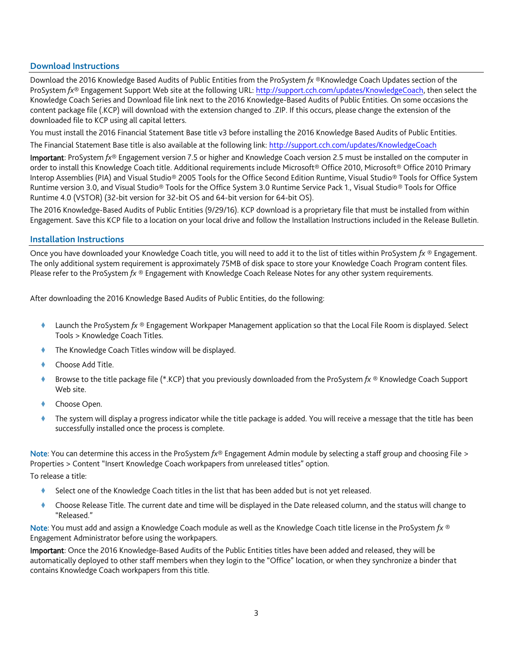## **Download Instructions**

Download the 2016 Knowledge Based Audits of Public Entities from the ProSystem *fx* ®Knowledge Coach Updates section of the ProSystem *fx*® Engagement Support Web site at the following URL[: http://support.cch.com/updates/KnowledgeCoach,](http://support.cch.com/updates/KnowledgeCoach) then select the Knowledge Coach Series and Download file link next to the 2016 Knowledge-Based Audits of Public Entities. On some occasions the content package file (.KCP) will download with the extension changed to .ZIP. If this occurs, please change the extension of the downloaded file to KCP using all capital letters.

You must install the 2016 Financial Statement Base title v3 before installing the 2016 Knowledge Based Audits of Public Entities.

The Financial Statement Base title is also available at the following link:<http://support.cch.com/updates/KnowledgeCoach>

Important: ProSystem *fx*® Engagement version 7.5 or higher and Knowledge Coach version 2.5 must be installed on the computer in order to install this Knowledge Coach title. Additional requirements include Microsoft® Office 2010, Microsoft® Office 2010 Primary Interop Assemblies (PIA) and Visual Studio® 2005 Tools for the Office Second Edition Runtime, Visual Studio® Tools for Office System Runtime version 3.0, and Visual Studio® Tools for the Office System 3.0 Runtime Service Pack 1., Visual Studio® Tools for Office Runtime 4.0 (VSTOR) (32-bit version for 32-bit OS and 64-bit version for 64-bit OS).

The 2016 Knowledge-Based Audits of Public Entities (9/29/16). KCP download is a proprietary file that must be installed from within Engagement. Save this KCP file to a location on your local drive and follow the Installation Instructions included in the Release Bulletin.

#### **Installation Instructions**

Once you have downloaded your Knowledge Coach title, you will need to add it to the list of titles within ProSystem *fx* ® Engagement. The only additional system requirement is approximately 75MB of disk space to store your Knowledge Coach Program content files. Please refer to the ProSystem *fx* ® Engagement with Knowledge Coach Release Notes for any other system requirements.

After downloading the 2016 Knowledge Based Audits of Public Entities, do the following:

- Launch the ProSystem *fx* ® Engagement Workpaper Management application so that the Local File Room is displayed. Select Tools > Knowledge Coach Titles.
- The Knowledge Coach Titles window will be displayed.
- Choose Add Title.
- Browse to the title package file (\*.KCP) that you previously downloaded from the ProSystem *fx* ® Knowledge Coach Support Web site.
- Choose Open.
- The system will display a progress indicator while the title package is added. You will receive a message that the title has been successfully installed once the process is complete.

Note: You can determine this access in the ProSystem *fx*® Engagement Admin module by selecting a staff group and choosing File > Properties > Content "Insert Knowledge Coach workpapers from unreleased titles" option.

To release a title:

- Select one of the Knowledge Coach titles in the list that has been added but is not yet released.
- Choose Release Title. The current date and time will be displayed in the Date released column, and the status will change to "Released."

Note: You must add and assign a Knowledge Coach module as well as the Knowledge Coach title license in the ProSystem *fx* ® Engagement Administrator before using the workpapers.

Important: Once the 2016 Knowledge-Based Audits of the Public Entities titles have been added and released, they will be automatically deployed to other staff members when they login to the "Office" location, or when they synchronize a binder that contains Knowledge Coach workpapers from this title.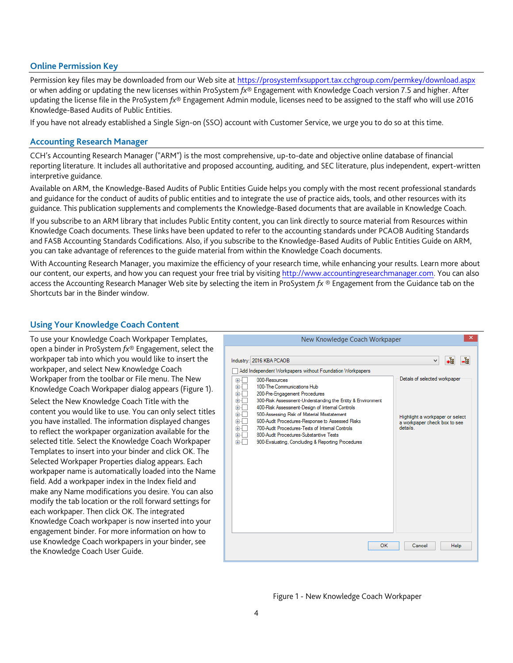#### **Online Permission Key**

Permission key files may be downloaded from our Web site a[t https://prosystemfxsupport.tax.cchgroup.com/permkey/download.aspx](https://prosystemfxsupport.tax.cchgroup.com/permkey/download.aspx)  or when adding or updating the new licenses within ProSystem *fx*® Engagement with Knowledge Coach version 7.5 and higher. After updating the license file in the ProSystem *fx*® Engagement Admin module, licenses need to be assigned to the staff who will use 2016 Knowledge-Based Audits of Public Entities.

If you have not already established a Single Sign-on (SSO) account with Customer Service, we urge you to do so at this time.

#### **Accounting Research Manager**

CCH's Accounting Research Manager ("ARM") is the most comprehensive, up-to-date and objective online database of financial reporting literature. It includes all authoritative and proposed accounting, auditing, and SEC literature, plus independent, expert-written interpretive guidance.

Available on ARM, the Knowledge-Based Audits of Public Entities Guide helps you comply with the most recent professional standards and guidance for the conduct of audits of public entities and to integrate the use of practice aids, tools, and other resources with its guidance. This publication supplements and complements the Knowledge-Based documents that are available in Knowledge Coach.

If you subscribe to an ARM library that includes Public Entity content, you can link directly to source material from Resources within Knowledge Coach documents. These links have been updated to refer to the accounting standards under PCAOB Auditing Standards and FASB Accounting Standards Codifications. Also, if you subscribe to the Knowledge-Based Audits of Public Entities Guide on ARM, you can take advantage of references to the guide material from within the Knowledge Coach documents.

With Accounting Research Manager, you maximize the efficiency of your research time, while enhancing your results. Learn more about our content, our experts, and how you can request your free trial by visiting [http://www.accountingresearchmanager.com.](http://www.accountingresearchmanager.com/) You can also access the Accounting Research Manager Web site by selecting the item in ProSystem *fx* ® Engagement from the Guidance tab on the Shortcuts bar in the Binder window.

## **Using Your Knowledge Coach Content**

To use your Knowledge Coach Workpaper Templates, open a binder in ProSystem *fx*® Engagement, select the workpaper tab into which you would like to insert the workpaper, and select New Knowledge Coach Workpaper from the toolbar or File menu. The New Knowledge Coach Workpaper dialog appears (Figure 1).

Select the New Knowledge Coach Title with the content you would like to use. You can only select titles you have installed. The information displayed changes to reflect the workpaper organization available for the selected title. Select the Knowledge Coach Workpaper Templates to insert into your binder and click OK. The Selected Workpaper Properties dialog appears. Each workpaper name is automatically loaded into the Name field. Add a workpaper index in the Index field and make any Name modifications you desire. You can also modify the tab location or the roll forward settings for each workpaper. Then click OK. The integrated Knowledge Coach workpaper is now inserted into your engagement binder. For more information on how to use Knowledge Coach workpapers in your binder, see the Knowledge Coach User Guide.

| New Knowledge Coach Workpaper                                                                                                                                                                                                                                                                                                                                                                                                                                                                                                                                      |                                                                                                             |
|--------------------------------------------------------------------------------------------------------------------------------------------------------------------------------------------------------------------------------------------------------------------------------------------------------------------------------------------------------------------------------------------------------------------------------------------------------------------------------------------------------------------------------------------------------------------|-------------------------------------------------------------------------------------------------------------|
| Industry: 2016 KBA PCAOB                                                                                                                                                                                                                                                                                                                                                                                                                                                                                                                                           | +ä<br>-1<br>$\checkmark$                                                                                    |
| Add Independent Workpapers without Foundation Workpapers<br>000-Resources<br>$+$<br>÷<br>100-The Communications Hub<br>200-Pre-Engagement Procedures<br>Ė<br>300-Risk Assessment-Understanding the Entity & Environment<br>Ė<br>400-Risk Assessment-Design of Internal Controls<br>Ė<br>Ė<br>500-Assessing Risk of Material Misstatement<br>Ė<br>600-Audit Procedures-Response to Assessed Risks<br>700-Audit Procedures-Tests of Internal Controls<br>Ė<br>Ė<br>800-Audit Procedures-Substantive Tests<br>÷.<br>900-Evaluating, Concluding & Reporting Procedures | Details of selected workpaper<br>Highlight a workpaper or select<br>a workpaper check box to see<br>details |
| OK                                                                                                                                                                                                                                                                                                                                                                                                                                                                                                                                                                 | <b>Help</b><br>Cancel                                                                                       |

#### Figure 1 - New Knowledge Coach Workpaper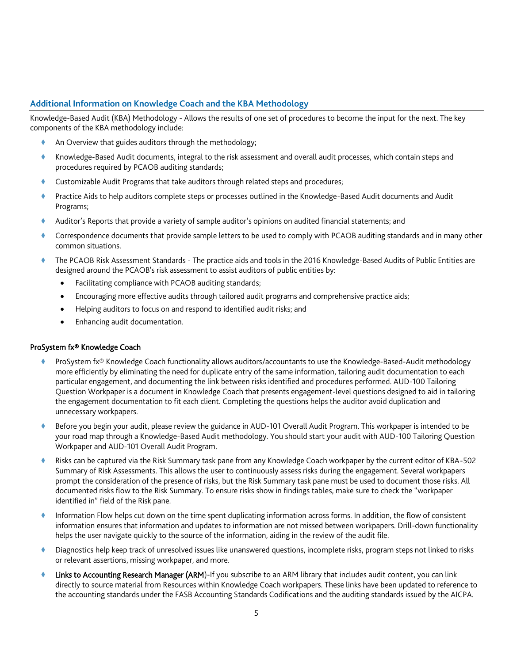# **Additional Information on Knowledge Coach and the KBA Methodology**

Knowledge-Based Audit (KBA) Methodology - Allows the results of one set of procedures to become the input for the next. The key components of the KBA methodology include:

- An Overview that guides auditors through the methodology;
- Knowledge-Based Audit documents, integral to the risk assessment and overall audit processes, which contain steps and procedures required by PCAOB auditing standards;
- Customizable Audit Programs that take auditors through related steps and procedures;
- Practice Aids to help auditors complete steps or processes outlined in the Knowledge-Based Audit documents and Audit Programs;
- Auditor's Reports that provide a variety of sample auditor's opinions on audited financial statements; and
- Correspondence documents that provide sample letters to be used to comply with PCAOB auditing standards and in many other common situations.
- The PCAOB Risk Assessment Standards The practice aids and tools in the 2016 Knowledge-Based Audits of Public Entities are designed around the PCAOB's risk assessment to assist auditors of public entities by:
	- Facilitating compliance with PCAOB auditing standards;
	- Encouraging more effective audits through tailored audit programs and comprehensive practice aids;
	- Helping auditors to focus on and respond to identified audit risks; and
	- Enhancing audit documentation.

#### ProSystem fx® Knowledge Coach

- ProSystem fx® Knowledge Coach functionality allows auditors/accountants to use the Knowledge-Based-Audit methodology more efficiently by eliminating the need for duplicate entry of the same information, tailoring audit documentation to each particular engagement, and documenting the link between risks identified and procedures performed. AUD-100 Tailoring Question Workpaper is a document in Knowledge Coach that presents engagement-level questions designed to aid in tailoring the engagement documentation to fit each client. Completing the questions helps the auditor avoid duplication and unnecessary workpapers.
- Before you begin your audit, please review the guidance in AUD-101 Overall Audit Program. This workpaper is intended to be your road map through a Knowledge-Based Audit methodology. You should start your audit with AUD-100 Tailoring Question Workpaper and AUD-101 Overall Audit Program.
- Risks can be captured via the Risk Summary task pane from any Knowledge Coach workpaper by the current editor of KBA-502 Summary of Risk Assessments. This allows the user to continuously assess risks during the engagement. Several workpapers prompt the consideration of the presence of risks, but the Risk Summary task pane must be used to document those risks. All documented risks flow to the Risk Summary. To ensure risks show in findings tables, make sure to check the "workpaper identified in" field of the Risk pane.
- Information Flow helps cut down on the time spent duplicating information across forms. In addition, the flow of consistent information ensures that information and updates to information are not missed between workpapers. Drill-down functionality helps the user navigate quickly to the source of the information, aiding in the review of the audit file.
- Diagnostics help keep track of unresolved issues like unanswered questions, incomplete risks, program steps not linked to risks or relevant assertions, missing workpaper, and more.
- Links to Accounting Research Manager (ARM)-If you subscribe to an ARM library that includes audit content, you can link directly to source material from Resources within Knowledge Coach workpapers. These links have been updated to reference to the accounting standards under the FASB Accounting Standards Codifications and the auditing standards issued by the AICPA.